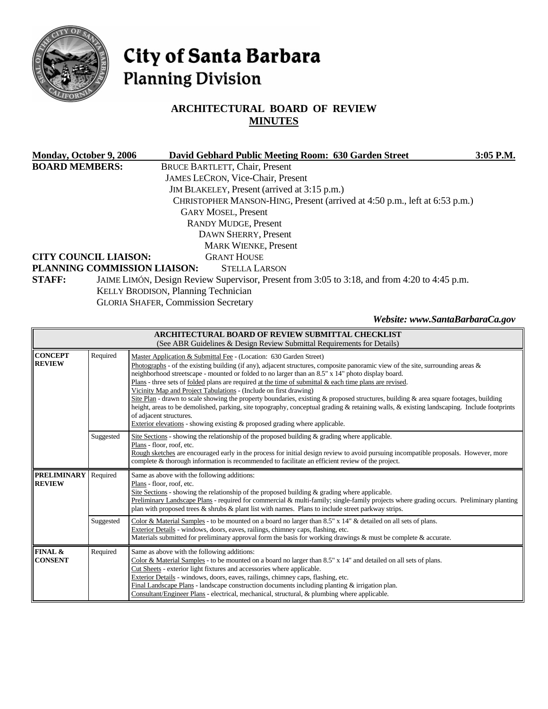

# City of Santa Barbara **Planning Division**

# **ARCHITECTURAL BOARD OF REVIEW MINUTES**

| Monday, October 9, 2006                             |                                            |  | David Gebhard Public Meeting Room: 630 Garden Street                                         | 3:05 P.M. |  |  |
|-----------------------------------------------------|--------------------------------------------|--|----------------------------------------------------------------------------------------------|-----------|--|--|
| <b>BOARD MEMBERS:</b>                               |                                            |  | <b>BRUCE BARTLETT, Chair, Present</b>                                                        |           |  |  |
|                                                     |                                            |  | <b>JAMES LECRON, Vice-Chair, Present</b>                                                     |           |  |  |
|                                                     |                                            |  | JIM BLAKELEY, Present (arrived at 3:15 p.m.)                                                 |           |  |  |
|                                                     |                                            |  | CHRISTOPHER MANSON-HING, Present (arrived at 4:50 p.m., left at 6:53 p.m.)                   |           |  |  |
|                                                     |                                            |  | <b>GARY MOSEL, Present</b>                                                                   |           |  |  |
| <b>RANDY MUDGE, Present</b><br>DAWN SHERRY, Present |                                            |  |                                                                                              |           |  |  |
|                                                     |                                            |  |                                                                                              |           |  |  |
|                                                     | <b>CITY COUNCIL LIAISON:</b>               |  | <b>GRANT HOUSE</b>                                                                           |           |  |  |
|                                                     | PLANNING COMMISSION LIAISON:               |  | <b>STELLA LARSON</b>                                                                         |           |  |  |
| <b>STAFF:</b>                                       |                                            |  | JAIME LIMÓN, Design Review Supervisor, Present from 3:05 to 3:18, and from 4:20 to 4:45 p.m. |           |  |  |
|                                                     | <b>KELLY BRODISON, Planning Technician</b> |  |                                                                                              |           |  |  |
|                                                     | <b>GLORIA SHAFER, Commission Secretary</b> |  |                                                                                              |           |  |  |
|                                                     |                                            |  |                                                                                              |           |  |  |

#### *Website: www.SantaBarbaraCa.gov*

| <b>ARCHITECTURAL BOARD OF REVIEW SUBMITTAL CHECKLIST</b><br>(See ABR Guidelines & Design Review Submittal Requirements for Details) |           |                                                                                                                                                                                                                                                                                                                                                                                                                                                                                                                                                                                                                                                                                                                                                                                                                                                                                                   |  |  |  |  |  |
|-------------------------------------------------------------------------------------------------------------------------------------|-----------|---------------------------------------------------------------------------------------------------------------------------------------------------------------------------------------------------------------------------------------------------------------------------------------------------------------------------------------------------------------------------------------------------------------------------------------------------------------------------------------------------------------------------------------------------------------------------------------------------------------------------------------------------------------------------------------------------------------------------------------------------------------------------------------------------------------------------------------------------------------------------------------------------|--|--|--|--|--|
| <b>CONCEPT</b><br><b>REVIEW</b>                                                                                                     | Required  | Master Application & Submittal Fee - (Location: 630 Garden Street)<br>Photographs - of the existing building (if any), adjacent structures, composite panoramic view of the site, surrounding areas $\&$<br>neighborhood streetscape - mounted or folded to no larger than an 8.5" x 14" photo display board.<br>Plans - three sets of folded plans are required at the time of submittal $\&$ each time plans are revised.<br>Vicinity Map and Project Tabulations - (Include on first drawing)<br>Site Plan - drawn to scale showing the property boundaries, existing & proposed structures, building & area square footages, building<br>height, areas to be demolished, parking, site topography, conceptual grading & retaining walls, & existing landscaping. Include footprints<br>of adjacent structures.<br>Exterior elevations - showing existing & proposed grading where applicable. |  |  |  |  |  |
|                                                                                                                                     | Suggested | Site Sections - showing the relationship of the proposed building $\&$ grading where applicable.<br>Plans - floor, roof, etc.<br>Rough sketches are encouraged early in the process for initial design review to avoid pursuing incompatible proposals. However, more<br>complete & thorough information is recommended to facilitate an efficient review of the project.                                                                                                                                                                                                                                                                                                                                                                                                                                                                                                                         |  |  |  |  |  |
| <b>PRELIMINARY</b><br><b>REVIEW</b>                                                                                                 | Required  | Same as above with the following additions:<br>Plans - floor, roof, etc.<br>Site Sections - showing the relationship of the proposed building $\&$ grading where applicable.<br>Preliminary Landscape Plans - required for commercial & multi-family; single-family projects where grading occurs. Preliminary planting<br>plan with proposed trees $\&$ shrubs $\&$ plant list with names. Plans to include street parkway strips.                                                                                                                                                                                                                                                                                                                                                                                                                                                               |  |  |  |  |  |
|                                                                                                                                     | Suggested | Color & Material Samples - to be mounted on a board no larger than 8.5" x 14" & detailed on all sets of plans.<br>Exterior Details - windows, doors, eaves, railings, chimney caps, flashing, etc.<br>Materials submitted for preliminary approval form the basis for working drawings & must be complete & accurate.                                                                                                                                                                                                                                                                                                                                                                                                                                                                                                                                                                             |  |  |  |  |  |
| FINAL &<br><b>CONSENT</b>                                                                                                           | Required  | Same as above with the following additions:<br>Color & Material Samples - to be mounted on a board no larger than $8.5" \times 14"$ and detailed on all sets of plans.<br>Cut Sheets - exterior light fixtures and accessories where applicable.<br>Exterior Details - windows, doors, eaves, railings, chimney caps, flashing, etc.<br>Final Landscape Plans - landscape construction documents including planting $&$ irrigation plan.<br>Consultant/Engineer Plans - electrical, mechanical, structural, & plumbing where applicable.                                                                                                                                                                                                                                                                                                                                                          |  |  |  |  |  |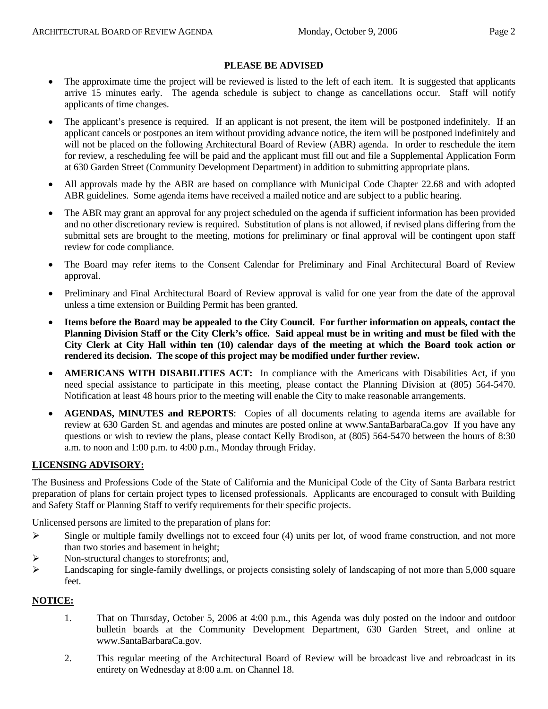- The approximate time the project will be reviewed is listed to the left of each item. It is suggested that applicants arrive 15 minutes early. The agenda schedule is subject to change as cancellations occur. Staff will notify applicants of time changes.
- The applicant's presence is required. If an applicant is not present, the item will be postponed indefinitely. If an applicant cancels or postpones an item without providing advance notice, the item will be postponed indefinitely and will not be placed on the following Architectural Board of Review (ABR) agenda. In order to reschedule the item for review, a rescheduling fee will be paid and the applicant must fill out and file a Supplemental Application Form at 630 Garden Street (Community Development Department) in addition to submitting appropriate plans.
- All approvals made by the ABR are based on compliance with Municipal Code Chapter 22.68 and with adopted ABR guidelines. Some agenda items have received a mailed notice and are subject to a public hearing.
- The ABR may grant an approval for any project scheduled on the agenda if sufficient information has been provided and no other discretionary review is required. Substitution of plans is not allowed, if revised plans differing from the submittal sets are brought to the meeting, motions for preliminary or final approval will be contingent upon staff review for code compliance.
- The Board may refer items to the Consent Calendar for Preliminary and Final Architectural Board of Review approval.
- Preliminary and Final Architectural Board of Review approval is valid for one year from the date of the approval unless a time extension or Building Permit has been granted.
- **Items before the Board may be appealed to the City Council. For further information on appeals, contact the Planning Division Staff or the City Clerk's office. Said appeal must be in writing and must be filed with the City Clerk at City Hall within ten (10) calendar days of the meeting at which the Board took action or rendered its decision. The scope of this project may be modified under further review.**
- **AMERICANS WITH DISABILITIES ACT:** In compliance with the Americans with Disabilities Act, if you need special assistance to participate in this meeting, please contact the Planning Division at (805) 564-5470. Notification at least 48 hours prior to the meeting will enable the City to make reasonable arrangements.
- **AGENDAS, MINUTES and REPORTS**: Copies of all documents relating to agenda items are available for review at 630 Garden St. and agendas and minutes are posted online at [www.SantaBarbaraCa.gov](http://www.santabarbaraca.gov/) If you have any questions or wish to review the plans, please contact Kelly Brodison, at (805) 564-5470 between the hours of 8:30 a.m. to noon and 1:00 p.m. to 4:00 p.m., Monday through Friday.

# **LICENSING ADVISORY:**

The Business and Professions Code of the State of California and the Municipal Code of the City of Santa Barbara restrict preparation of plans for certain project types to licensed professionals. Applicants are encouraged to consult with Building and Safety Staff or Planning Staff to verify requirements for their specific projects.

Unlicensed persons are limited to the preparation of plans for:

- $\triangleright$  Single or multiple family dwellings not to exceed four (4) units per lot, of wood frame construction, and not more than two stories and basement in height;
- ¾ Non-structural changes to storefronts; and,
- ¾ Landscaping for single-family dwellings, or projects consisting solely of landscaping of not more than 5,000 square feet.

# **NOTICE:**

- 1. That on Thursday, October 5, 2006 at 4:00 p.m., this Agenda was duly posted on the indoor and outdoor bulletin boards at the Community Development Department, 630 Garden Street, and online at www.SantaBarbaraCa.gov.
- 2. This regular meeting of the Architectural Board of Review will be broadcast live and rebroadcast in its entirety on Wednesday at 8:00 a.m. on Channel 18.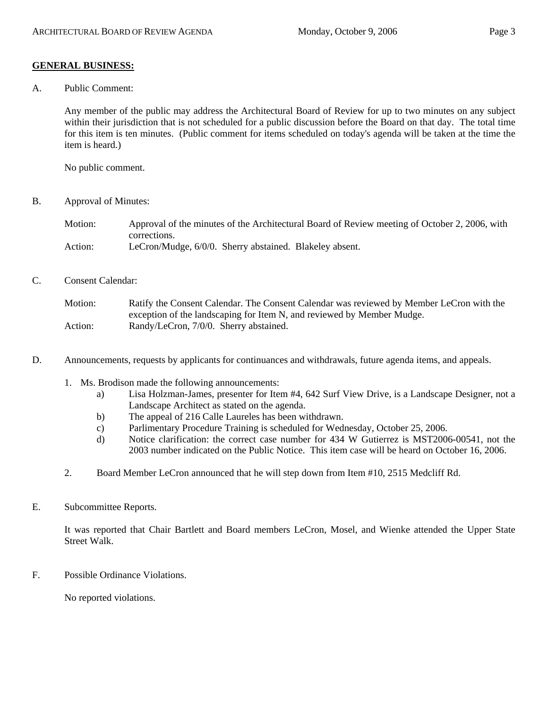#### **GENERAL BUSINESS:**

A. Public Comment:

Any member of the public may address the Architectural Board of Review for up to two minutes on any subject within their jurisdiction that is not scheduled for a public discussion before the Board on that day. The total time for this item is ten minutes. (Public comment for items scheduled on today's agenda will be taken at the time the item is heard.)

No public comment.

B. Approval of Minutes:

Motion: Approval of the minutes of the Architectural Board of Review meeting of October 2, 2006, with corrections. Action: LeCron/Mudge, 6/0/0. Sherry abstained. Blakeley absent.

C. Consent Calendar:

Motion: Ratify the Consent Calendar. The Consent Calendar was reviewed by Member LeCron with the exception of the landscaping for Item N, and reviewed by Member Mudge. Action: Randy/LeCron, 7/0/0. Sherry abstained.

- D. Announcements, requests by applicants for continuances and withdrawals, future agenda items, and appeals.
	- 1. Ms. Brodison made the following announcements:
		- a) Lisa Holzman-James, presenter for Item #4, 642 Surf View Drive, is a Landscape Designer, not a Landscape Architect as stated on the agenda.
		- b) The appeal of 216 Calle Laureles has been withdrawn.
		- c) Parlimentary Procedure Training is scheduled for Wednesday, October 25, 2006.
		- d) Notice clarification: the correct case number for 434 W Gutierrez is MST2006-00541, not the 2003 number indicated on the Public Notice. This item case will be heard on October 16, 2006.
	- 2. Board Member LeCron announced that he will step down from Item #10, 2515 Medcliff Rd.
- E. Subcommittee Reports.

It was reported that Chair Bartlett and Board members LeCron, Mosel, and Wienke attended the Upper State Street Walk.

F. Possible Ordinance Violations.

No reported violations.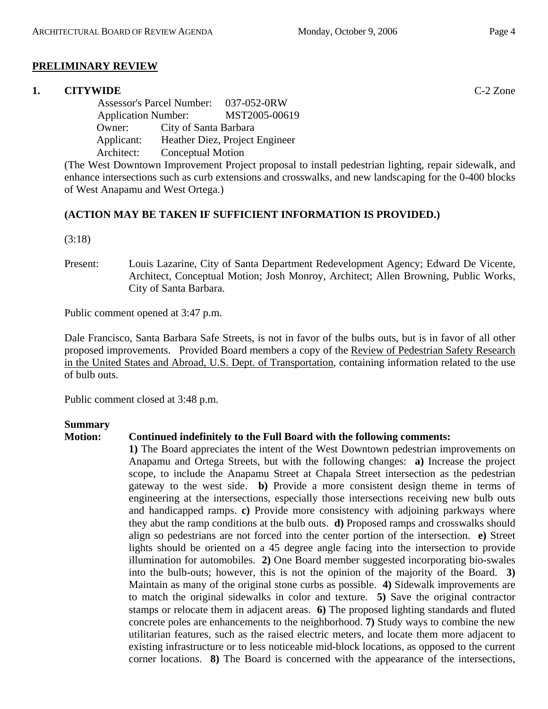# **PRELIMINARY REVIEW**

# **1. CITYWIDE** C-2 Zone

 Assessor's Parcel Number: 037-052-0RW Application Number: MST2005-00619 Owner: City of Santa Barbara Applicant: Heather Diez, Project Engineer Architect: Conceptual Motion

(The West Downtown Improvement Project proposal to install pedestrian lighting, repair sidewalk, and enhance intersections such as curb extensions and crosswalks, and new landscaping for the 0-400 blocks of West Anapamu and West Ortega.)

# **(ACTION MAY BE TAKEN IF SUFFICIENT INFORMATION IS PROVIDED.)**

(3:18)

Present: Louis Lazarine, City of Santa Department Redevelopment Agency; Edward De Vicente, Architect, Conceptual Motion; Josh Monroy, Architect; Allen Browning, Public Works, City of Santa Barbara.

Public comment opened at 3:47 p.m.

Dale Francisco, Santa Barbara Safe Streets, is not in favor of the bulbs outs, but is in favor of all other proposed improvements. Provided Board members a copy of the Review of Pedestrian Safety Research in the United States and Abroad, U.S. Dept. of Transportation, containing information related to the use of bulb outs.

Public comment closed at 3:48 p.m.

#### **Summary**

# **Motion: Continued indefinitely to the Full Board with the following comments:**

**1)** The Board appreciates the intent of the West Downtown pedestrian improvements on Anapamu and Ortega Streets, but with the following changes: **a)** Increase the project scope, to include the Anapamu Street at Chapala Street intersection as the pedestrian gateway to the west side. **b)** Provide a more consistent design theme in terms of engineering at the intersections, especially those intersections receiving new bulb outs and handicapped ramps. **c)** Provide more consistency with adjoining parkways where they abut the ramp conditions at the bulb outs. **d)** Proposed ramps and crosswalks should align so pedestrians are not forced into the center portion of the intersection. **e)** Street lights should be oriented on a 45 degree angle facing into the intersection to provide illumination for automobiles. **2)** One Board member suggested incorporating bio-swales into the bulb-outs; however, this is not the opinion of the majority of the Board. **3)** Maintain as many of the original stone curbs as possible. **4)** Sidewalk improvements are to match the original sidewalks in color and texture. **5)** Save the original contractor stamps or relocate them in adjacent areas. **6)** The proposed lighting standards and fluted concrete poles are enhancements to the neighborhood. **7)** Study ways to combine the new utilitarian features, such as the raised electric meters, and locate them more adjacent to existing infrastructure or to less noticeable mid-block locations, as opposed to the current corner locations. **8)** The Board is concerned with the appearance of the intersections,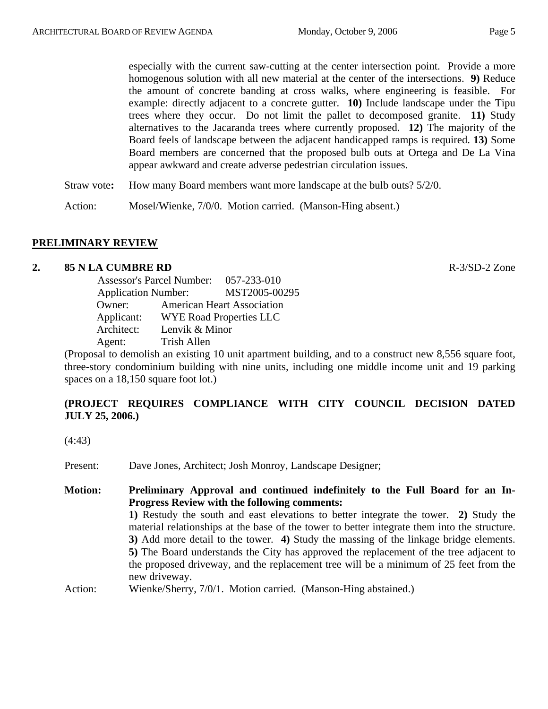especially with the current saw-cutting at the center intersection point. Provide a more homogenous solution with all new material at the center of the intersections. **9)** Reduce the amount of concrete banding at cross walks, where engineering is feasible. For example: directly adjacent to a concrete gutter. **10)** Include landscape under the Tipu trees where they occur. Do not limit the pallet to decomposed granite. **11)** Study alternatives to the Jacaranda trees where currently proposed. **12)** The majority of the Board feels of landscape between the adjacent handicapped ramps is required. **13)** Some Board members are concerned that the proposed bulb outs at Ortega and De La Vina appear awkward and create adverse pedestrian circulation issues.

Straw vote**:** How many Board members want more landscape at the bulb outs? 5/2/0.

Action: Mosel/Wienke, 7/0/0. Motion carried. (Manson-Hing absent.)

# **PRELIMINARY REVIEW**

#### **2. 85 N LA CUMBRE RD R-3/SD-2 Zone**

 Assessor's Parcel Number: 057-233-010 Application Number: MST2005-00295 Owner: American Heart Association Applicant: WYE Road Properties LLC Architect: Lenvik & Minor Agent: Trish Allen

(Proposal to demolish an existing 10 unit apartment building, and to a construct new 8,556 square foot, three-story condominium building with nine units, including one middle income unit and 19 parking spaces on a 18,150 square foot lot.)

# **(PROJECT REQUIRES COMPLIANCE WITH CITY COUNCIL DECISION DATED JULY 25, 2006.)**

(4:43)

Present: Dave Jones, Architect; Josh Monroy, Landscape Designer;

**Motion: Preliminary Approval and continued indefinitely to the Full Board for an In-Progress Review with the following comments: 1)** Restudy the south and east elevations to better integrate the tower. **2)** Study the material relationships at the base of the tower to better integrate them into the structure. **3)** Add more detail to the tower. **4)** Study the massing of the linkage bridge elements. **5)** The Board understands the City has approved the replacement of the tree adjacent to the proposed driveway, and the replacement tree will be a minimum of 25 feet from the new driveway. Action: Wienke/Sherry, 7/0/1. Motion carried. (Manson-Hing abstained.)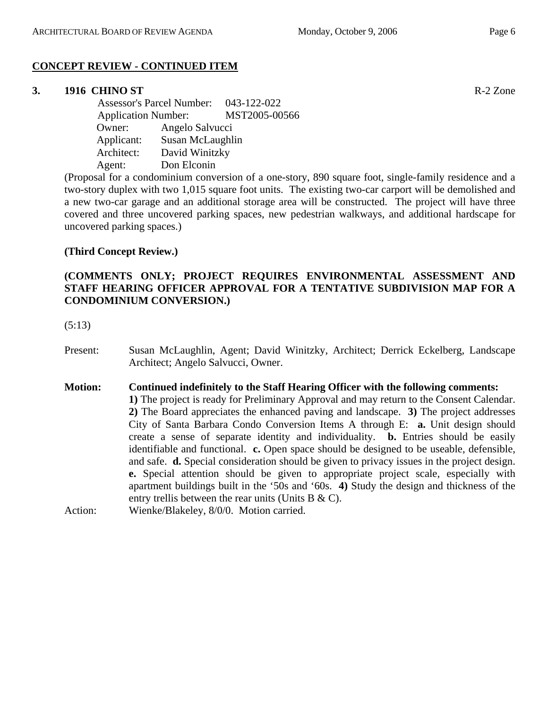# **CONCEPT REVIEW - CONTINUED ITEM**

#### **3. 1916 CHINO ST** R-2 Zone

 Assessor's Parcel Number: 043-122-022 Application Number: MST2005-00566 Owner: Angelo Salvucci Applicant: Susan McLaughlin Architect: David Winitzky Agent: Don Elconin

(Proposal for a condominium conversion of a one-story, 890 square foot, single-family residence and a two-story duplex with two 1,015 square foot units. The existing two-car carport will be demolished and a new two-car garage and an additional storage area will be constructed. The project will have three covered and three uncovered parking spaces, new pedestrian walkways, and additional hardscape for uncovered parking spaces.)

# **(Third Concept Review.)**

# **(COMMENTS ONLY; PROJECT REQUIRES ENVIRONMENTAL ASSESSMENT AND STAFF HEARING OFFICER APPROVAL FOR A TENTATIVE SUBDIVISION MAP FOR A CONDOMINIUM CONVERSION.)**

(5:13)

Present: Susan McLaughlin, Agent; David Winitzky, Architect; Derrick Eckelberg, Landscape Architect; Angelo Salvucci, Owner.

#### **Motion: Continued indefinitely to the Staff Hearing Officer with the following comments:**

**1)** The project is ready for Preliminary Approval and may return to the Consent Calendar. **2)** The Board appreciates the enhanced paving and landscape. **3)** The project addresses City of Santa Barbara Condo Conversion Items A through E: **a.** Unit design should create a sense of separate identity and individuality. **b.** Entries should be easily identifiable and functional. **c.** Open space should be designed to be useable, defensible, and safe. **d.** Special consideration should be given to privacy issues in the project design. **e.** Special attention should be given to appropriate project scale, especially with apartment buildings built in the '50s and '60s. **4)** Study the design and thickness of the entry trellis between the rear units (Units B & C).

Action: Wienke/Blakeley, 8/0/0. Motion carried.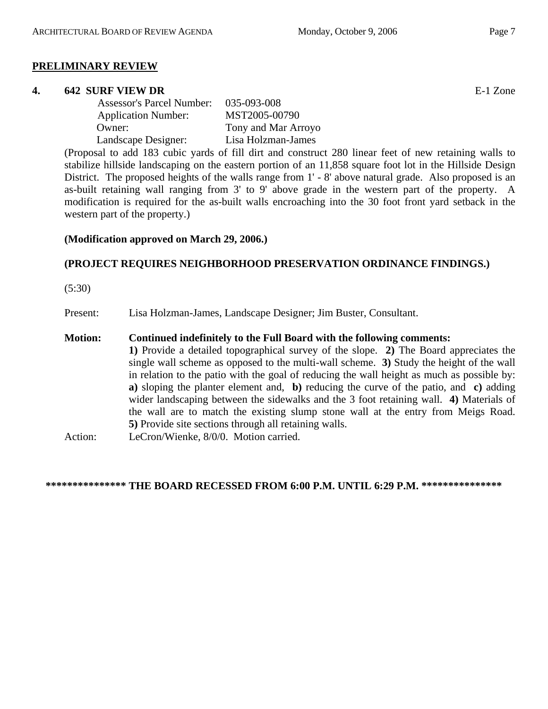#### **PRELIMINARY REVIEW**

#### **4. 642 SURF VIEW DR** E-1 Zone

| <b>Assessor's Parcel Number:</b> | 035-093-008         |
|----------------------------------|---------------------|
| <b>Application Number:</b>       | MST2005-00790       |
| Owner:                           | Tony and Mar Arroyo |
| Landscape Designer:              | Lisa Holzman-James  |

(Proposal to add 183 cubic yards of fill dirt and construct 280 linear feet of new retaining walls to stabilize hillside landscaping on the eastern portion of an 11,858 square foot lot in the Hillside Design District. The proposed heights of the walls range from 1' - 8' above natural grade. Also proposed is an as-built retaining wall ranging from 3' to 9' above grade in the western part of the property. A modification is required for the as-built walls encroaching into the 30 foot front yard setback in the western part of the property.)

#### **(Modification approved on March 29, 2006.)**

# **(PROJECT REQUIRES NEIGHBORHOOD PRESERVATION ORDINANCE FINDINGS.)**

(5:30)

Present: Lisa Holzman-James, Landscape Designer; Jim Buster, Consultant.

# **Motion: Continued indefinitely to the Full Board with the following comments:**

**1)** Provide a detailed topographical survey of the slope. **2)** The Board appreciates the single wall scheme as opposed to the multi-wall scheme. **3)** Study the height of the wall in relation to the patio with the goal of reducing the wall height as much as possible by: **a)** sloping the planter element and, **b)** reducing the curve of the patio, and **c)** adding wider landscaping between the sidewalks and the 3 foot retaining wall. **4)** Materials of the wall are to match the existing slump stone wall at the entry from Meigs Road. **5)** Provide site sections through all retaining walls.

Action: LeCron/Wienke, 8/0/0. Motion carried.

**\*\*\*\*\*\*\*\*\*\*\*\*\*\*\* THE BOARD RECESSED FROM 6:00 P.M. UNTIL 6:29 P.M. \*\*\*\*\*\*\*\*\*\*\*\*\*\*\***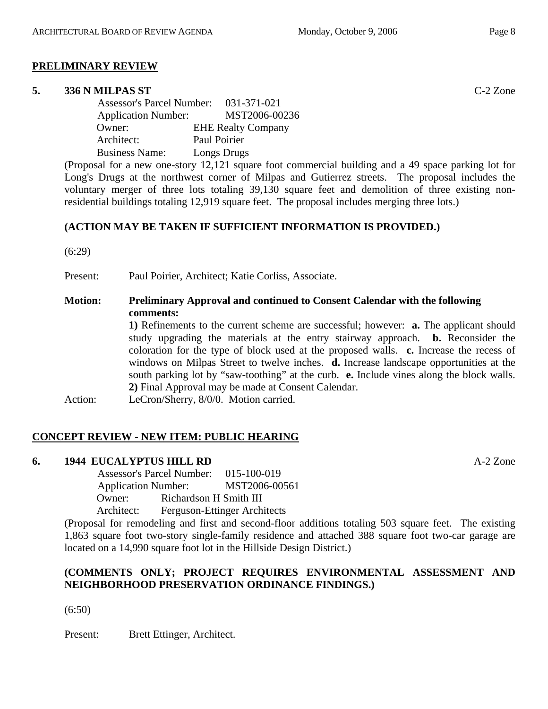# **PRELIMINARY REVIEW**

#### **5. 336 N MILPAS ST** C-2 Zone

| <b>Assessor's Parcel Number:</b> | 031-371-021               |
|----------------------------------|---------------------------|
| <b>Application Number:</b>       | MST2006-00236             |
| Owner:                           | <b>EHE Realty Company</b> |
| Architect:                       | Paul Poirier              |
| <b>Business Name:</b>            | Longs Drugs               |

(Proposal for a new one-story 12,121 square foot commercial building and a 49 space parking lot for Long's Drugs at the northwest corner of Milpas and Gutierrez streets. The proposal includes the voluntary merger of three lots totaling 39,130 square feet and demolition of three existing nonresidential buildings totaling 12,919 square feet. The proposal includes merging three lots.)

# **(ACTION MAY BE TAKEN IF SUFFICIENT INFORMATION IS PROVIDED.)**

(6:29)

Present: Paul Poirier, Architect; Katie Corliss, Associate.

# **Motion: Preliminary Approval and continued to Consent Calendar with the following comments:**

**1)** Refinements to the current scheme are successful; however: **a.** The applicant should study upgrading the materials at the entry stairway approach. **b.** Reconsider the coloration for the type of block used at the proposed walls. **c.** Increase the recess of windows on Milpas Street to twelve inches. **d.** Increase landscape opportunities at the south parking lot by "saw-toothing" at the curb. **e.** Include vines along the block walls. **2)** Final Approval may be made at Consent Calendar.

Action: LeCron/Sherry, 8/0/0. Motion carried.

# **CONCEPT REVIEW - NEW ITEM: PUBLIC HEARING**

# **6. 1944 EUCALYPTUS HILL RD** A-2 Zone

 Assessor's Parcel Number: 015-100-019 Application Number: MST2006-00561 Owner: Richardson H Smith III Architect: Ferguson-Ettinger Architects

(Proposal for remodeling and first and second-floor additions totaling 503 square feet. The existing 1,863 square foot two-story single-family residence and attached 388 square foot two-car garage are located on a 14,990 square foot lot in the Hillside Design District.)

# **(COMMENTS ONLY; PROJECT REQUIRES ENVIRONMENTAL ASSESSMENT AND NEIGHBORHOOD PRESERVATION ORDINANCE FINDINGS.)**

 $(6:50)$ 

Present: Brett Ettinger, Architect.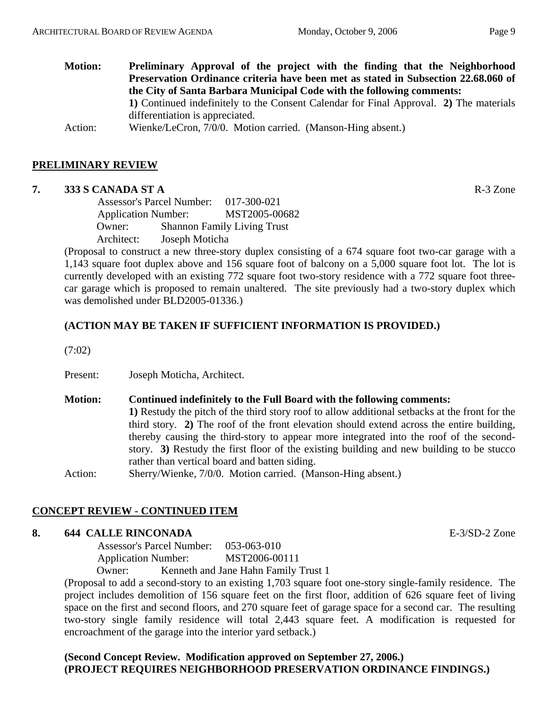**Motion: Preliminary Approval of the project with the finding that the Neighborhood Preservation Ordinance criteria have been met as stated in Subsection 22.68.060 of the City of Santa Barbara Municipal Code with the following comments: 1)** Continued indefinitely to the Consent Calendar for Final Approval. **2)** The materials differentiation is appreciated. Action: Wienke/LeCron, 7/0/0. Motion carried. (Manson-Hing absent.)

# **PRELIMINARY REVIEW**

#### **7. 333 S CANADA ST A** R-3 Zone

 Assessor's Parcel Number: 017-300-021 Application Number: MST2005-00682 Owner: Shannon Family Living Trust Architect: Joseph Moticha

(Proposal to construct a new three-story duplex consisting of a 674 square foot two-car garage with a 1,143 square foot duplex above and 156 square foot of balcony on a 5,000 square foot lot. The lot is currently developed with an existing 772 square foot two-story residence with a 772 square foot threecar garage which is proposed to remain unaltered. The site previously had a two-story duplex which was demolished under BLD2005-01336.)

# **(ACTION MAY BE TAKEN IF SUFFICIENT INFORMATION IS PROVIDED.)**

(7:02)

Present: Joseph Moticha, Architect.

**Motion: Continued indefinitely to the Full Board with the following comments: 1)** Restudy the pitch of the third story roof to allow additional setbacks at the front for the third story. **2)** The roof of the front elevation should extend across the entire building, thereby causing the third-story to appear more integrated into the roof of the secondstory. **3)** Restudy the first floor of the existing building and new building to be stucco rather than vertical board and batten siding. Action: Sherry/Wienke, 7/0/0. Motion carried. (Manson-Hing absent.)

# **CONCEPT REVIEW - CONTINUED ITEM**

### **8. 644 CALLE RINCONADA** E-3/SD-2 Zone

 Assessor's Parcel Number: 053-063-010 Application Number: MST2006-00111

Owner: Kenneth and Jane Hahn Family Trust 1

(Proposal to add a second-story to an existing 1,703 square foot one-story single-family residence. The project includes demolition of 156 square feet on the first floor, addition of 626 square feet of living space on the first and second floors, and 270 square feet of garage space for a second car. The resulting two-story single family residence will total 2,443 square feet. A modification is requested for encroachment of the garage into the interior yard setback.)

# **(Second Concept Review. Modification approved on September 27, 2006.) (PROJECT REQUIRES NEIGHBORHOOD PRESERVATION ORDINANCE FINDINGS.)**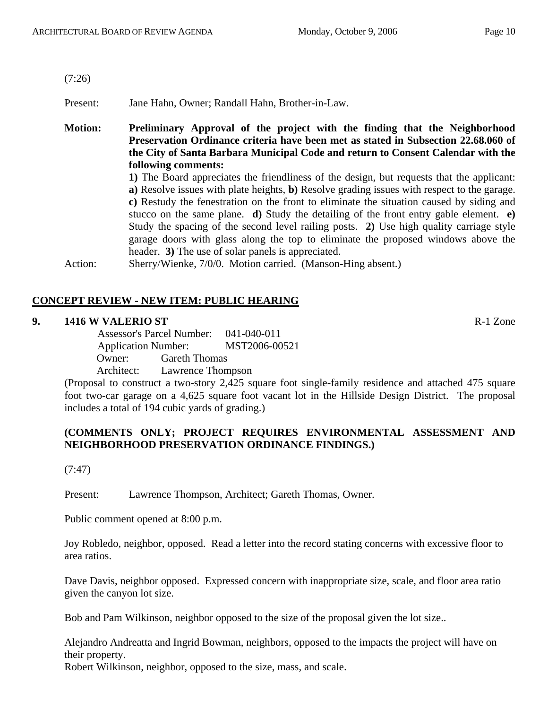(7:26)

Present: Jane Hahn, Owner; Randall Hahn, Brother-in-Law.

**Motion: Preliminary Approval of the project with the finding that the Neighborhood Preservation Ordinance criteria have been met as stated in Subsection 22.68.060 of the City of Santa Barbara Municipal Code and return to Consent Calendar with the following comments:**

**1)** The Board appreciates the friendliness of the design, but requests that the applicant: **a)** Resolve issues with plate heights, **b)** Resolve grading issues with respect to the garage. **c)** Restudy the fenestration on the front to eliminate the situation caused by siding and stucco on the same plane. **d)** Study the detailing of the front entry gable element. **e)** Study the spacing of the second level railing posts. **2)** Use high quality carriage style garage doors with glass along the top to eliminate the proposed windows above the header. **3)** The use of solar panels is appreciated.

Action: Sherry/Wienke, 7/0/0. Motion carried. (Manson-Hing absent.)

# **CONCEPT REVIEW - NEW ITEM: PUBLIC HEARING**

#### **9. 1416 W VALERIO ST** R-1 Zone

 Assessor's Parcel Number: 041-040-011 Application Number: MST2006-00521 Owner: Gareth Thomas Architect: Lawrence Thompson

(Proposal to construct a two-story 2,425 square foot single-family residence and attached 475 square foot two-car garage on a 4,625 square foot vacant lot in the Hillside Design District. The proposal includes a total of 194 cubic yards of grading.)

# **(COMMENTS ONLY; PROJECT REQUIRES ENVIRONMENTAL ASSESSMENT AND NEIGHBORHOOD PRESERVATION ORDINANCE FINDINGS.)**

(7:47)

Present: Lawrence Thompson, Architect; Gareth Thomas, Owner.

Public comment opened at 8:00 p.m.

Joy Robledo, neighbor, opposed. Read a letter into the record stating concerns with excessive floor to area ratios.

Dave Davis, neighbor opposed. Expressed concern with inappropriate size, scale, and floor area ratio given the canyon lot size.

Bob and Pam Wilkinson, neighbor opposed to the size of the proposal given the lot size..

Alejandro Andreatta and Ingrid Bowman, neighbors, opposed to the impacts the project will have on their property.

Robert Wilkinson, neighbor, opposed to the size, mass, and scale.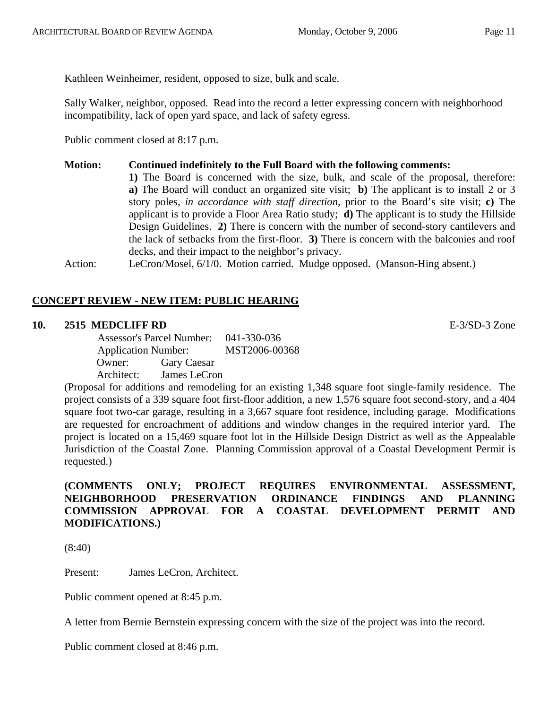Kathleen Weinheimer, resident, opposed to size, bulk and scale.

Sally Walker, neighbor, opposed. Read into the record a letter expressing concern with neighborhood incompatibility, lack of open yard space, and lack of safety egress.

Public comment closed at 8:17 p.m.

# **Motion: Continued indefinitely to the Full Board with the following comments:**

**1)** The Board is concerned with the size, bulk, and scale of the proposal, therefore: **a)** The Board will conduct an organized site visit; **b)** The applicant is to install 2 or 3 story poles, *in accordance with staff direction*, prior to the Board's site visit; **c)** The applicant is to provide a Floor Area Ratio study; **d)** The applicant is to study the Hillside Design Guidelines. **2)** There is concern with the number of second-story cantilevers and the lack of setbacks from the first-floor. **3)** There is concern with the balconies and roof decks, and their impact to the neighbor's privacy.

Action: LeCron/Mosel, 6/1/0. Motion carried. Mudge opposed. (Manson-Hing absent.)

# **CONCEPT REVIEW - NEW ITEM: PUBLIC HEARING**

# **10. 2515 MEDCLIFF RD** E-3/SD-3 Zone

 Assessor's Parcel Number: 041-330-036 Application Number: MST2006-00368 Owner: Gary Caesar Architect: James LeCron

(Proposal for additions and remodeling for an existing 1,348 square foot single-family residence. The project consists of a 339 square foot first-floor addition, a new 1,576 square foot second-story, and a 404 square foot two-car garage, resulting in a 3,667 square foot residence, including garage. Modifications are requested for encroachment of additions and window changes in the required interior yard. The project is located on a 15,469 square foot lot in the Hillside Design District as well as the Appealable Jurisdiction of the Coastal Zone. Planning Commission approval of a Coastal Development Permit is requested.)

# **(COMMENTS ONLY; PROJECT REQUIRES ENVIRONMENTAL ASSESSMENT, NEIGHBORHOOD PRESERVATION ORDINANCE FINDINGS AND PLANNING COMMISSION APPROVAL FOR A COASTAL DEVELOPMENT PERMIT AND MODIFICATIONS.)**

(8:40)

Present: James LeCron, Architect.

Public comment opened at 8:45 p.m.

A letter from Bernie Bernstein expressing concern with the size of the project was into the record.

Public comment closed at 8:46 p.m.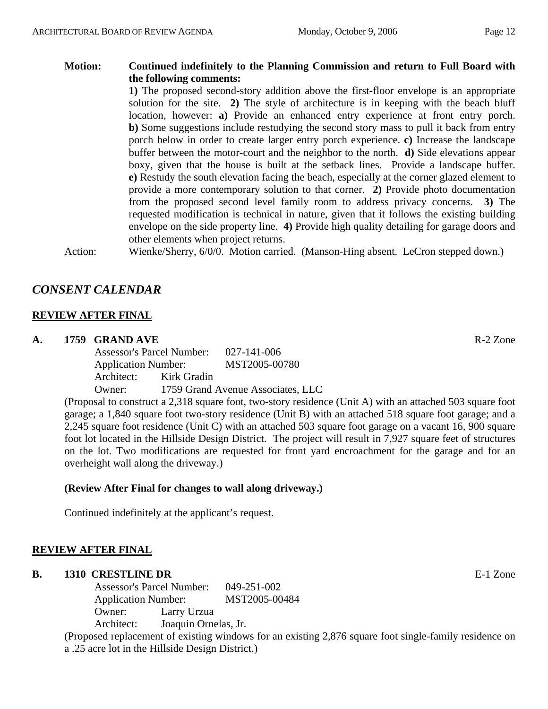**Motion: Continued indefinitely to the Planning Commission and return to Full Board with the following comments:** 

**1)** The proposed second-story addition above the first-floor envelope is an appropriate solution for the site. **2)** The style of architecture is in keeping with the beach bluff location, however: **a)** Provide an enhanced entry experience at front entry porch. **b)** Some suggestions include restudying the second story mass to pull it back from entry porch below in order to create larger entry porch experience. **c)** Increase the landscape buffer between the motor-court and the neighbor to the north. **d)** Side elevations appear boxy, given that the house is built at the setback lines. Provide a landscape buffer. **e)** Restudy the south elevation facing the beach, especially at the corner glazed element to provide a more contemporary solution to that corner. **2)** Provide photo documentation from the proposed second level family room to address privacy concerns. **3)** The requested modification is technical in nature, given that it follows the existing building envelope on the side property line. **4)** Provide high quality detailing for garage doors and other elements when project returns.

Action: Wienke/Sherry, 6/0/0. Motion carried. (Manson-Hing absent. LeCron stepped down.)

# *CONSENT CALENDAR*

# **REVIEW AFTER FINAL**

# **A. 1759 GRAND AVE** R-2 Zone

Assessor's Parcel Number: 027-141-006 Application Number: MST2005-00780 Architect: Kirk Gradin Owner: 1759 Grand Avenue Associates, LLC

(Proposal to construct a 2,318 square foot, two-story residence (Unit A) with an attached 503 square foot garage; a 1,840 square foot two-story residence (Unit B) with an attached 518 square foot garage; and a 2,245 square foot residence (Unit C) with an attached 503 square foot garage on a vacant 16, 900 square foot lot located in the Hillside Design District. The project will result in 7,927 square feet of structures on the lot. Two modifications are requested for front yard encroachment for the garage and for an overheight wall along the driveway.)

# **(Review After Final for changes to wall along driveway.)**

Continued indefinitely at the applicant's request.

# **REVIEW AFTER FINAL**

# **B.** 1310 CRESTLINE DR **E-1** Zone

Assessor's Parcel Number: 049-251-002 Application Number: MST2005-00484 Owner: Larry Urzua Architect: Joaquin Ornelas, Jr.

(Proposed replacement of existing windows for an existing 2,876 square foot single-family residence on a .25 acre lot in the Hillside Design District.)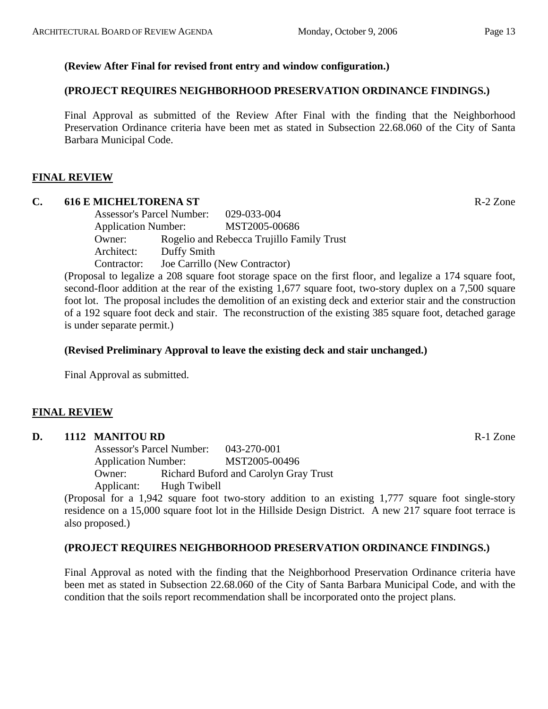# **(Review After Final for revised front entry and window configuration.)**

# **(PROJECT REQUIRES NEIGHBORHOOD PRESERVATION ORDINANCE FINDINGS.)**

Final Approval as submitted of the Review After Final with the finding that the Neighborhood Preservation Ordinance criteria have been met as stated in Subsection 22.68.060 of the City of Santa Barbara Municipal Code.

#### **FINAL REVIEW**

#### **C. 616 E MICHELTORENA ST** R-2 Zone

Assessor's Parcel Number: 029-033-004 Application Number: MST2005-00686 Owner: Rogelio and Rebecca Trujillo Family Trust Architect: Duffy Smith Contractor: Joe Carrillo (New Contractor)

(Proposal to legalize a 208 square foot storage space on the first floor, and legalize a 174 square foot, second-floor addition at the rear of the existing 1,677 square foot, two-story duplex on a 7,500 square foot lot. The proposal includes the demolition of an existing deck and exterior stair and the construction of a 192 square foot deck and stair. The reconstruction of the existing 385 square foot, detached garage is under separate permit.)

#### **(Revised Preliminary Approval to leave the existing deck and stair unchanged.)**

Final Approval as submitted.

# **FINAL REVIEW**

#### **D. 1112 MANITOU RD R-1** Zone

Assessor's Parcel Number: 043-270-001 Application Number: MST2005-00496 Owner: Richard Buford and Carolyn Gray Trust Applicant: Hugh Twibell

(Proposal for a 1,942 square foot two-story addition to an existing 1,777 square foot single-story residence on a 15,000 square foot lot in the Hillside Design District. A new 217 square foot terrace is also proposed.)

#### **(PROJECT REQUIRES NEIGHBORHOOD PRESERVATION ORDINANCE FINDINGS.)**

Final Approval as noted with the finding that the Neighborhood Preservation Ordinance criteria have been met as stated in Subsection 22.68.060 of the City of Santa Barbara Municipal Code, and with the condition that the soils report recommendation shall be incorporated onto the project plans.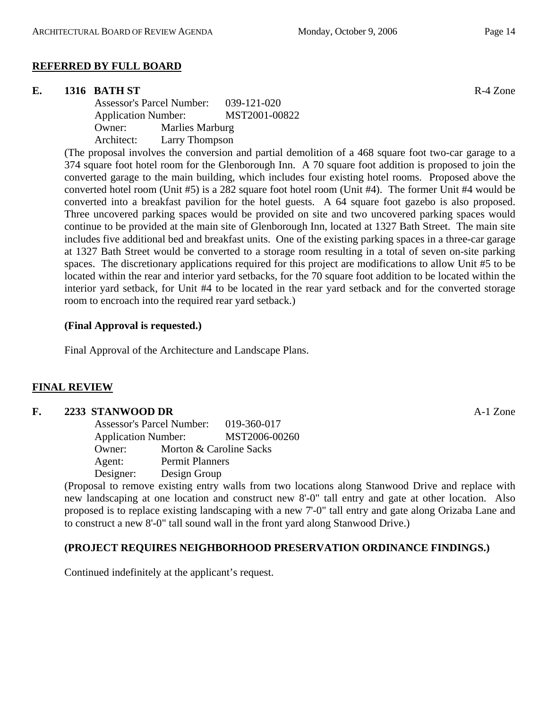# **REFERRED BY FULL BOARD**

# **E.** 1316 BATH ST **R-4 Zone**

Assessor's Parcel Number: 039-121-020 Application Number: MST2001-00822 Owner: Marlies Marburg Architect: Larry Thompson

(The proposal involves the conversion and partial demolition of a 468 square foot two-car garage to a 374 square foot hotel room for the Glenborough Inn. A 70 square foot addition is proposed to join the converted garage to the main building, which includes four existing hotel rooms. Proposed above the converted hotel room (Unit #5) is a 282 square foot hotel room (Unit #4). The former Unit #4 would be converted into a breakfast pavilion for the hotel guests. A 64 square foot gazebo is also proposed. Three uncovered parking spaces would be provided on site and two uncovered parking spaces would continue to be provided at the main site of Glenborough Inn, located at 1327 Bath Street. The main site includes five additional bed and breakfast units. One of the existing parking spaces in a three-car garage at 1327 Bath Street would be converted to a storage room resulting in a total of seven on-site parking spaces. The discretionary applications required for this project are modifications to allow Unit #5 to be located within the rear and interior yard setbacks, for the 70 square foot addition to be located within the interior yard setback, for Unit #4 to be located in the rear yard setback and for the converted storage room to encroach into the required rear yard setback.)

#### **(Final Approval is requested.)**

Final Approval of the Architecture and Landscape Plans.

# **FINAL REVIEW**

# **F. 2233 STANWOOD DR** A-1 Zone Assessor's Parcel Number: 019-360-017 Application Number: MST2006-00260 Owner: Morton & Caroline Sacks Agent: Permit Planners Designer: Design Group

(Proposal to remove existing entry walls from two locations along Stanwood Drive and replace with new landscaping at one location and construct new 8'-0" tall entry and gate at other location. Also proposed is to replace existing landscaping with a new 7'-0" tall entry and gate along Orizaba Lane and to construct a new 8'-0" tall sound wall in the front yard along Stanwood Drive.)

# **(PROJECT REQUIRES NEIGHBORHOOD PRESERVATION ORDINANCE FINDINGS.)**

Continued indefinitely at the applicant's request.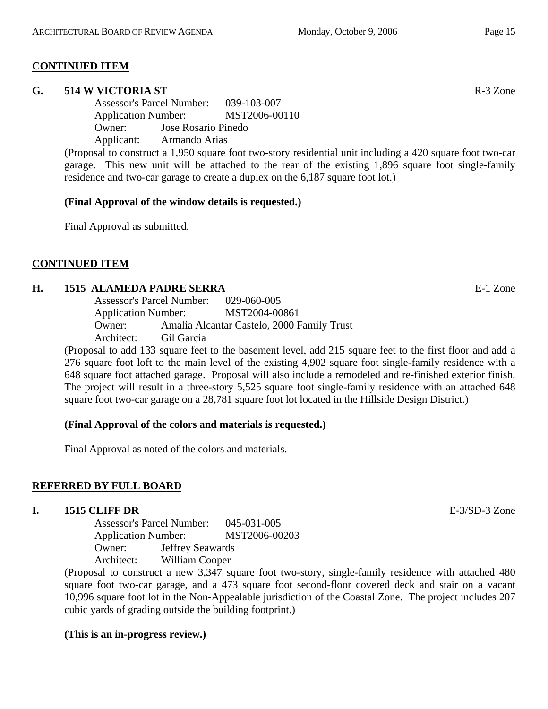# **CONTINUED ITEM**

#### **G. 514 W VICTORIA ST** R-3 Zone

Assessor's Parcel Number: 039-103-007 Application Number: MST2006-00110 Owner: Jose Rosario Pinedo Applicant: Armando Arias

(Proposal to construct a 1,950 square foot two-story residential unit including a 420 square foot two-car garage. This new unit will be attached to the rear of the existing 1,896 square foot single-family residence and two-car garage to create a duplex on the 6,187 square foot lot.)

# **(Final Approval of the window details is requested.)**

Final Approval as submitted.

# **CONTINUED ITEM**

#### **H. 1515 ALAMEDA PADRE SERRA** E-1 Zone

Assessor's Parcel Number: 029-060-005 Application Number: MST2004-00861 Owner: Amalia Alcantar Castelo, 2000 Family Trust Architect: Gil Garcia

(Proposal to add 133 square feet to the basement level, add 215 square feet to the first floor and add a 276 square foot loft to the main level of the existing 4,902 square foot single-family residence with a 648 square foot attached garage. Proposal will also include a remodeled and re-finished exterior finish. The project will result in a three-story 5,525 square foot single-family residence with an attached 648 square foot two-car garage on a 28,781 square foot lot located in the Hillside Design District.)

# **(Final Approval of the colors and materials is requested.)**

Final Approval as noted of the colors and materials.

# **REFERRED BY FULL BOARD**

#### **I. 1515 CLIFF DR** E-3/SD-3 Zone

Assessor's Parcel Number: 045-031-005 Application Number: MST2006-00203 Owner: Jeffrey Seawards Architect: William Cooper

(Proposal to construct a new 3,347 square foot two-story, single-family residence with attached 480 square foot two-car garage, and a 473 square foot second-floor covered deck and stair on a vacant 10,996 square foot lot in the Non-Appealable jurisdiction of the Coastal Zone. The project includes 207 cubic yards of grading outside the building footprint.)

#### **(This is an in-progress review.)**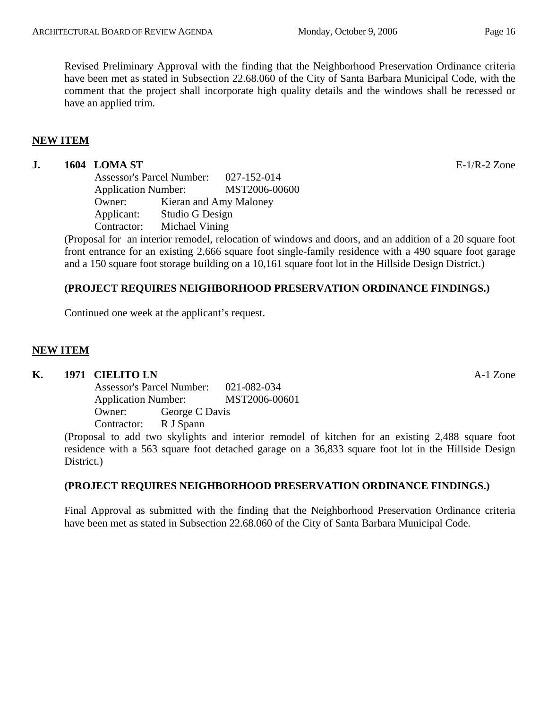# **NEW ITEM**

# **J. 1604 LOMA ST** E-1/R-2 Zone

Assessor's Parcel Number: 027-152-014 Application Number: MST2006-00600 Owner: Kieran and Amy Maloney Applicant: Studio G Design Contractor: Michael Vining

(Proposal for an interior remodel, relocation of windows and doors, and an addition of a 20 square foot front entrance for an existing 2,666 square foot single-family residence with a 490 square foot garage and a 150 square foot storage building on a 10,161 square foot lot in the Hillside Design District.)

# **(PROJECT REQUIRES NEIGHBORHOOD PRESERVATION ORDINANCE FINDINGS.)**

Continued one week at the applicant's request.

#### **NEW ITEM**

#### **K. 1971 CIELITO LN** A-1 Zone

Assessor's Parcel Number: 021-082-034 Application Number: MST2006-00601 Owner: George C Davis Contractor: R J Spann

(Proposal to add two skylights and interior remodel of kitchen for an existing 2,488 square foot residence with a 563 square foot detached garage on a 36,833 square foot lot in the Hillside Design District.)

#### **(PROJECT REQUIRES NEIGHBORHOOD PRESERVATION ORDINANCE FINDINGS.)**

Final Approval as submitted with the finding that the Neighborhood Preservation Ordinance criteria have been met as stated in Subsection 22.68.060 of the City of Santa Barbara Municipal Code.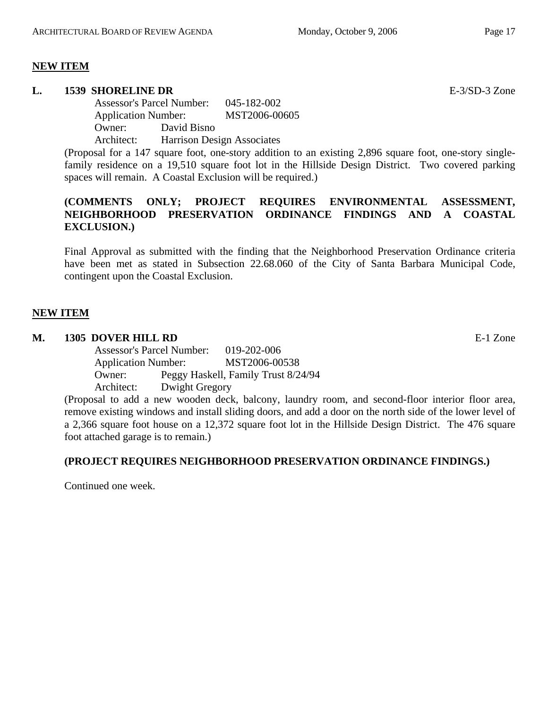# **NEW ITEM**

# **L. 1539 SHORELINE DR** E-3/SD-3 Zone

Assessor's Parcel Number: 045-182-002 Application Number: MST2006-00605 Owner: David Bisno Architect: Harrison Design Associates

(Proposal for a 147 square foot, one-story addition to an existing 2,896 square foot, one-story singlefamily residence on a 19,510 square foot lot in the Hillside Design District. Two covered parking spaces will remain. A Coastal Exclusion will be required.)

# **(COMMENTS ONLY; PROJECT REQUIRES ENVIRONMENTAL ASSESSMENT, NEIGHBORHOOD PRESERVATION ORDINANCE FINDINGS AND A COASTAL EXCLUSION.)**

Final Approval as submitted with the finding that the Neighborhood Preservation Ordinance criteria have been met as stated in Subsection 22.68.060 of the City of Santa Barbara Municipal Code, contingent upon the Coastal Exclusion.

# **NEW ITEM**

# **M. 1305 DOVER HILL RD** E-1 Zone

Assessor's Parcel Number: 019-202-006 Application Number: MST2006-00538 Owner: Peggy Haskell, Family Trust 8/24/94 Architect: Dwight Gregory

(Proposal to add a new wooden deck, balcony, laundry room, and second-floor interior floor area, remove existing windows and install sliding doors, and add a door on the north side of the lower level of a 2,366 square foot house on a 12,372 square foot lot in the Hillside Design District. The 476 square foot attached garage is to remain.)

# **(PROJECT REQUIRES NEIGHBORHOOD PRESERVATION ORDINANCE FINDINGS.)**

Continued one week.